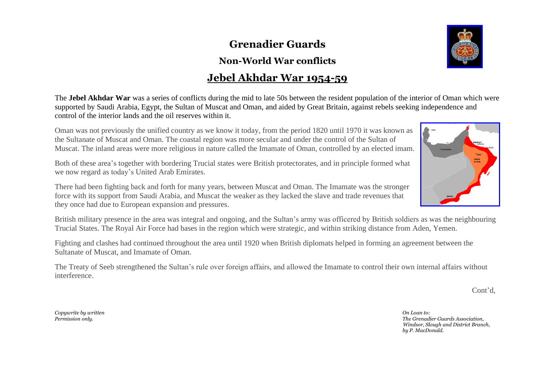## **Grenadier Guards**

## **Non-World War conflicts**

## **Jebel Akhdar War 1954-59**

The **Jebel Akhdar War** was a series of conflicts during the mid to late 50s between the resident population of the interior of Oman which were supported by Saudi Arabia, Egypt, the Sultan of Muscat and Oman, and aided by Great Britain, against rebels seeking independence and control of the interior lands and the oil reserves within it.

Oman was not previously the unified country as we know it today, from the period 1820 until 1970 it was known as the Sultanate of Muscat and Oman. The coastal region was more secular and under the control of the Sultan of Muscat. The inland areas were more religious in nature called the Imamate of Oman, controlled by an elected imam.

Both of these area's together with bordering Trucial states were British protectorates, and in principle formed what we now regard as today's United Arab Emirates.

There had been fighting back and forth for many years, between Muscat and Oman. The Imamate was the stronger force with its support from Saudi Arabia, and Muscat the weaker as they lacked the slave and trade revenues that they once had due to European expansion and pressures.

British military presence in the area was integral and ongoing, and the Sultan's army was officered by British soldiers as was the neighbouring Trucial States. The Royal Air Force had bases in the region which were strategic, and within striking distance from Aden, Yemen.

Fighting and clashes had continued throughout the area until 1920 when British diplomats helped in forming an agreement between the Sultanate of Muscat, and Imamate of Oman.

The Treaty of Seeb strengthened the Sultan's rule over foreign affairs, and allowed the Imamate to control their own internal affairs without interference.

*Permission only. The Grenadier Guards Association, Windsor, Slough and District Branch,*

 *by P. MacDonald.*

*Copywrite by written On Loan to:*





Cont'd,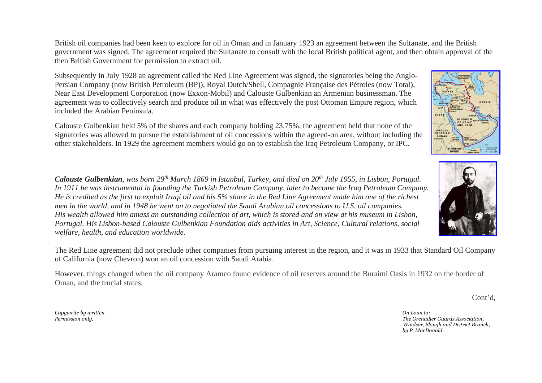British oil companies had been keen to explore for oil in Oman and in January 1923 an agreement between the Sultanate, and the British government was signed. The agreement required the Sultanate to consult with the local British political agent, and then obtain approval of the then British Government for permission to extract oil.

Subsequently in July 1928 an agreement called the Red Line Agreement was signed, the signatories being the Anglo-Persian Company (now British Petroleum (BP)), Royal Dutch/Shell, Compagnie Française des Pétroles (now Total), Near East Development Corporation (now Exxon-Mobil) and Calouste Gulbenkian an Armenian businessman. The agreement was to collectively search and produce oil in what was effectively the post Ottoman Empire region, which included the Arabian Peninsula.

Calouste Gulbenkian held 5% of the shares and each company holding 23.75%, the agreement held that none of the signatories was allowed to pursue the establishment of oil concessions within the agreed-on area, without including the other stakeholders. In 1929 the agreement members would go on to establish the Iraq Petroleum Company, or IPC.

*Calouste Gulbenkian, was born 29th March 1869 in Istanbul, Turkey, and died on 20th July 1955, in Lisbon, Portugal. In 1911 he was instrumental in founding the Turkish Petroleum Company, later to become the Iraq Petroleum Company. He is credited as the first to exploit Iraqi oil and his 5% share in the Red Line Agreement made him one of the richest men in the world, and in 1948 he went on to negotiated the Saudi Arabian oil [concessions](https://www.merriam-webster.com/dictionary/concessions) to U.S. oil companies. His wealth allowed him amass an outstanding collection of art, which is stored and on view at his museum in Lisbon, Portugal. His Lisbon-based Calouste Gulbenkian Foundation aids activities in Art, Science, Cultural relations, social welfare, health, and education worldwide.*

The Red Line agreement did not preclude other companies from pursuing interest in the region, and it was in 1933 that Standard Oil Company of California (now Chevron) won an oil concession with Saudi Arabia.

However, things changed when the oil company Aramco found evidence of oil reserves around the Buraimi Oasis in 1932 on the border of Oman, and the trucial states.

*Permission only. The Grenadier Guards Association, Windsor, Slough and District Branch, by P. MacDonald.*

Cont'd,

*Copywrite by written On Loan to:*